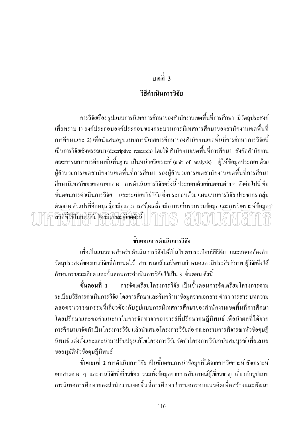## บทที่ 3

#### วิธีดำเบิบการวิจัย

ี การวิจัยเรื่อง รูปแบบการนิเทศการศึกษาของสำนักงานเขตพื้นที่การศึกษา มีวัตถุประสงค์ เพื่อทราบ 1) องค์ประกอบองค์ประกอบของกระบวนการนิเทศการศึกษาของสำนักงานเขตพื้นที่ ี การศึกษาและ 2) เพื่อนำเสนอรูปแบบการนิเทศการศึกษาของสำนักงานเขตพื้นที่การศึกษา การวิจัยนี้ เป็นการวิจัยเชิงพรรณนา (descriptive research) โดยใช้ สำนักงานเขตพื้นที่การศึกษา สังกัดสำนักงาน ิ คณะกรรมการการศึกษาขั้นพื้นฐาน เป็นหน่วยวิเคราะห์ (unit of analysis) ผู้ให้ข้อมูลประกอบด้วย ผู้อำนวยการเขตสำนักงานเขตพื้นที่การศึกษา รองผู้อำนวยการเขตสำนักงานเขตพื้นที่การศึกษา ี่ศึกษานิเทศก์ของเขตภาคกลาง การดำเนินการวิจัยครั้งนี้ ประกอบด้วยขั้นตอนต่างๆ ดังต่อไปนี้ คือ ์ ขั้นตอนการคำเนินการวิจัย และระเบียบวิธีวิจัย ซึ่งประกอบด้วย แผนแบบการวิจัย ประชากร กลุ่ม ์ ตัว<u>อย่า</u>ง ตัวแปรที่ศึกษา <u>เครื่</u>องมือและการสร้างเครื่องมือ การเก็บรวบรวมข้อมูล แ<u>ละก</u>ารวิเ<u>คราะ</u>ห์ข้อมูล สถิติที่ใช้ในการวิจัย โดยมีรายละเอียดดังนี้

## ขั้นตอนการดำเนินการวิจัย

เพื่อเป็นแนวทางสำหรับคำเนินการวิจัยให้เป็นไปตามระเบียบวิธีวิจัย และสอดคล้องกับ วัตถุประสงค์ของการวิจัยที่กำหนดไว้ สามารถแล้วเสร็จตามกำหนดและมีประสิทธิภาพ ผู้วิจัยจึงได้ ้กำหนดรายละเอียด และขั้นตอนการคำเนินการวิจัยไว้เป็น 3 ขั้นตอน ดังนี้

ึการจัดเตรียมโครงการวิจัย เป็นขั้นตอนการจัดเตรียมโครงการตาม ์ขั้นตอบที่ 1 ระเบียบวิธีการคำเนินการวิจัย โดยการศึกษาและค้นคว้าหาข้อมูลจากเอกสาร ตำรา วารสาร บทความ ้ตลอดจนวรรณกรรมที่เกี่ยวข้องกับรูปแบบการนิเทศการศึกษาของสำนักงานเขตพื้นที่การศึกษา โดยปรึกษาและขอคำแนะนำในการจัดทำจากอาจารย์ที่ปรึกษาดุษฎีนิพนธ์ เพื่อนำผลที่ได้จาก การศึกษามาจัดทำเป็นโครงการวิจัย แล้วนำเสนอโครงการวิจัยต่อ คณะกรรมการพิจารณาหัวข้อดุษฎี ้นิพนธ์ แต่งตั้งและและนำมาปรับปรุงแก้ไขโครงการวิจัย จัดทำโครงการวิจัยฉบับสมบูรณ์ เพื่อเสนอ ขออนุมัติหัวข้อคุษฎีนิพนธ์

์ **ขั้นตอนที่ 2** การคำเนินการวิจัย เป็นขั้นตอนการนำข้อมูลที่ได้จากการวิเคราะห์ สังเคราะห์ เอกสารต่าง ๆ และงานวิจัยที่เกี่ยวข้อง รวมทั้งข้อมูลจากการสัมภาษณ์ผู้เชี่ยวชาญ เกี่ยวกับรูปแบบ ิการนิเทศการศึกนาของสำนักงานเขตพื้นที่การศึกนากำหนดกรอบแนวอิดเพื่อสร้างและพัฒนา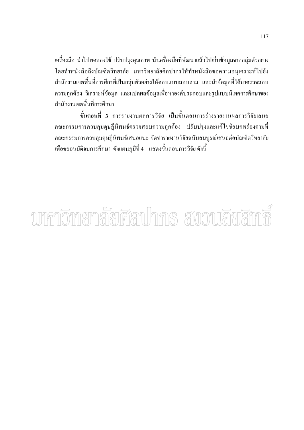้เครื่องมือ นำไปทดลองใช้ ปรับปรุงคุณภาพ นำเครื่องมือที่พัฒนาแล้วไปเก็บข้อมูลจากกลุ่มตัวอย่าง โดยทำหนังสือถึงบัณฑิตวิทยาลัย มหาวิทยาลัยศิลปากรให้ทำหนังสือขอความอนุเคราะห์ไปยัง ี สำนักงานเขตพื้นที่การศึกาที่เป็นกล่มตัวอย่างให้ตอบแบบสอบถาม และนำข้อมลที่ได้มาตรวจสอบ ้ความถูกต้อง วิเคราะห์ข้อมูล และแปลผลข้อมูลเพื่อหาองค์ประกอบและรูปแบบนิเทศการศึกษาของ ์<br>สำนักงาบเขตพื้นที่การศึกนา

์ <mark>ขั้นตอนที่ 3</mark> การรายงานผลการวิจัย เป็นขั้นตอนการร่างรายงานผลการวิจัยเสนอ ึคณะกรรมการควบคุมดุษฎีนิพนธ์ตรวจสอบความถูกต้อง ปรับปรุงและแก้ไขข้อบกพร่องตามที่ ึคณะกรรมการควบคุมดุษฎีนิพนธ์เสนอแนะ จัดทำรายงานวิจัยฉบับสมบูรณ์เสนอต่อบัณฑิตวิทยาลัย เพื่อขออนุมัติจบการศึกษา ดังแผนภูมิที่ 4 แสดงขั้นตอนการวิจัย ดังนี้

# ามหกวิทายกลัยศิลปากร สังวนลิขสิท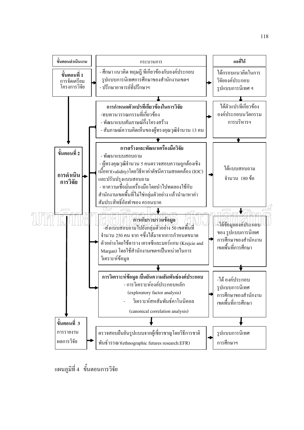

แผนภูมิที่ 4 ขั้นตอนการวิจัย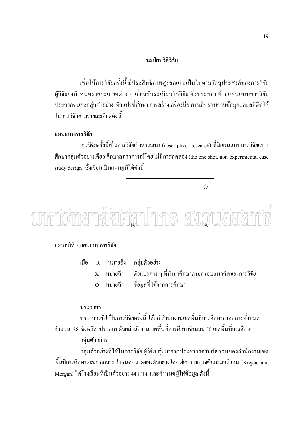#### ระเบียบวิธีวิจัย

เพื่อให้การวิจัยครั้งนี้ มีประสิทธิภาพสูงสุดและเป็นไปตามวัตถุประสงค์ของการวิจัย ผู้วิจัยจึงกำหนดรายละเอียดต่าง ๆ เกี่ยวกับระเบียบวิธีวิจัย ซึ่งประกอบด้วยแผนแบบการวิจัย ประชากร และกลุ่มตัวอย่าง ตัวแปรที่ศึกษา การสร้างเครื่องมือ การเก็บรวบรวมข้อมูลและสถิติที่ใช้ ในการวิจัยตามรายละเกียดดังนี้

#### แผนแบบการวิจัย

การวิจัยครั้งนี้เป็นการวิจัยเชิงพรรณนา (descriptive research) ที่มีแผนแบบการวิจัยแบบ ้ศึกษากลุ่มตัวอย่างเดียว ศึกษาสภาวการณ์โดยไม่มีการทดลอง (the one shot, non-experimental case study design) ซึ่งเขียนเป็นแผนภมิได้ดังนี้



## ้แผนภูมิที่ 5 แผนแบบการวิจัย

|  | เมื่อ R หมายถึง กลุ่มตัวอย่าง                                         |
|--|-----------------------------------------------------------------------|
|  | $\mathbf x$ หมายถึง ตัวแปรต่าง ๆ ที่นำมาศึกษาตามกรอบแนวคิดของการวิจัย |
|  | O หมายถึง ข้อมูลที่ได้จากการศึกษา                                     |

#### ประชากร

ประชากรที่ใช้ในการวิจัยครั้งนี้ ได้แก่ สำนักงานเขตพื้นที่การศึกษาภาคกลางทั้งหมด ี จำนวน 28 จังหวัด ประกอบด้วยสำนักงานเขตพื้นที่การศึกษาจำนวน 50 เขตพื้นที่การศึกษา กล่มตัวอย่าง

ึกลุ่มตัวอย่างที่ใช้ในการวิจัย ผู้วิจัย สุ่มมาจากประชากรตามสัดส่วนของสำนักงานเขต พื้นที่การศึกษาเขตภาคกลาง กำหนดขนาดของตัวอย่างโดยใช้ตารางเครจซีและมอร์แกน (Krejcie and Morgan) ใด้โรงเรียนที่เป็นตัวอย่าง 44 แห่ง และกำหนดผู้ให้ข้อมูล ดังนี้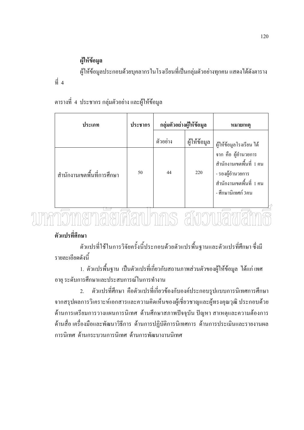## ผู้ให้ข้อมูล

 $\vec{\hat{n}}$  4

ผู้ให้ข้อมูลประกอบด้วยบุคลากรในโรงเรียนที่เป็นกลุ่มตัวอย่างทุกคน แสดงได้ดังตาราง

## ี ตารางที่ 4 ประชากร กลุ่มตัวอย่าง และผู้ให้ข้อมูล

| ประเภท                     | กลุ่มตัวอย่างผู้ให้ข้อมูล<br>ประชากร |          |              | หมายเหต                                                                                                                 |
|----------------------------|--------------------------------------|----------|--------------|-------------------------------------------------------------------------------------------------------------------------|
|                            |                                      | ตัวอย่าง | ผู้ให้ข้อมูล | ผู้ให้ข้อมูลโรงเรียน ได้                                                                                                |
| สำนักงานเขตพื้นที่การศึกษา | 50                                   | 44       | 220          | จาก คือ ผู้อำนวยการ<br>์ สำนักงานเขตพื้นที่ 1 คน<br>- รองผู้อำนวยการ<br>์ สำนักงานเขตพื้นที่ 1 คน<br>- ศึกษานิเทศก์ 3คน |

# ์ตศัลท amonian

# ตัวแปรที่ศึกษา

้ตัวแปรที่ใช้ในการวิจัยครั้งนี้ประกอบด้วยตัวแปรพื้นฐานและตัวแปรที่ศึกษา ซึ่งมี รายละเอียดดังนี้

1. ตัวแปรพื้นฐาน เป็นตัวแปรที่เกี่ยวกับสถานภาพส่วนตัวของผู้ให้ข้อมูล ได้แก่ เพศ อายุ ระดับการศึกษาและประสบการณ์ในการทำงาน

้ตัวแปรที่ศึกษา คือตัวแปรที่เกี่ยวข้องกับองค์ประกอบรูปแบบการนิเทศการศึกษา  $\overline{2}$ . ิจากสรุปผลการวิเคราะห์เอกสารและความคิดเห็นของผู้เชี่ยวชาญและผู้ทรงคุณวุฒิ ประกอบด้วย ด้านการเตรียมการวางแผนการนิเทศ ด้านศึกษาสภาพปัจจุบัน ปัญหา สาเหตุและความต้องการ ้ด้านสื่อ เครื่องมือและพัฒนาวิธีการ ด้านการปฏิบัติการนิเทศการ ด้านการประเมินและรายงานผล ึการนิเทศ ด้านกระบวนการนิเทศ ด้านการพัฒนางานนิเทศ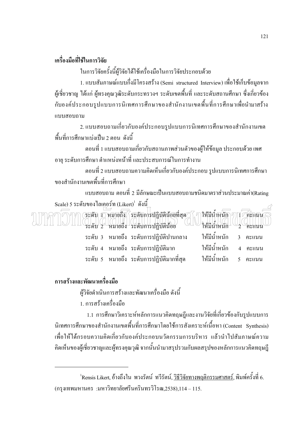## เครื่องมือที่ใช้ในการวิจัย

ในการวิจัยครั้งนี้ผู้วิจัยใด้ใช้เครื่องมือในการวิจัยประกอบด้วย

1. แบบสัมภาษณ์แบบกึ่งมีโครงสร้าง (Semi structured Interview) เพื่อใช้เก็บข้อมูลจาก ผู้เชี่ยวชาญ ได้แก่ ผู้ทรงคุณวุฒิระดับกระทรวงฯ ระดับเขตพื้นที่ และระดับสถานศึกษา ซึ่งเกี่ยวข้อง กับองค์ประกอบรูปแบบการนิเทศการศึกษาของสำนักงานเขตพื้นที่การศึกษาเพื่อนำมาสร้าง แบบสอบถาม

2. แบบสอบถามเกี่ยวกับองค์ประกอบรูปแบบการนิเทศการศึกษาของสำนักงานเขต ์พื้นที่การศึกนาแบ่งเป็น 2 ตกน ดังนี้

ี ตอนที่ 1 แบบสอบถามเกี่ยวกับสถานภาพส่วนตัวของผู้ให้ข้อมูล ประกอบด้วย เพศ ้อายุ ระดับการศึกษา ตำแหน่งหน้าที่ และประสบการณ์ในการทำงาน

ี ตอนที่ 2 แบบสอบถามความคิดเห็นเกี่ยวกับองค์ประกอบ รูปแบบการนิเทศการศึกษา ของสำนักงานเขตพื้นที่การศึกษา

แบบสอบถาม ตอนที่ 2 มีลักษณะเป็นแบบสอบถามชนิดมาตราส่วนประมาณค่า(Rating Scale) 5 ระดับของไลเคอร์ท (Likert) คังนี้

(ระคับ 1) หมายถึง (ระคับการปฏิบัติน้อยที่สุด) **ให้มีน้ำหนัก** คาร*์ค* าั\ ท ิคะแนิน ้ระดับ 2 หมายถึง ระดับการปฏิบัติน้อย ให้บั๊บทนัก ีคะเเบา ระดับ 3 หมายถึง ระดับการปฏิบัติปานกลาง ให้มีน้ำหนัก  $\overline{3}$ คะแนน ให้มีน้ำหนัก ระดับ 4 หมายถึง ระดับการปฏิบัติมาก คะแนน ให้มีน้ำหนัก ระดับ 5 หมายถึง ระดับการปฏิบัติมากที่สุด คะแนน  $\overline{5}$ 

## การสร้างและพัฒนาเครื่องมือ

ผู้วิจัยคำเนินการสร้างและพัฒนาเครื่องมือ ดังนี้

1. การสร้างเครื่องมือ

1.1 การศึกษาวิเคราะห์หลักการแนวคิดทฤษฎีและงานวิจัยที่เกี่ยวข้องกับรูปแบบการ นิเทศการศึกษาของสำนักงานเขตพื้นที่การศึกษาโดยใช้การสังเคราะห์เนื้อหา (Content Synthesis) ้เพื่อให้ได้กรอบความคิดเกี่ยวกับองค์ประกอบนวัตกรรมการบริหาร แล้วนำไปสัมภาษณ์ความ ้คิดเห็นของผู้เชี่ยวชาญและผู้ทรงคุณวุฒิ จากนั้นนำมาสรุปรวมกับผลสรุปของหลักการแนวคิดทฤษฎี

 $^{\rm 1}$ Rensis Likert, อ้างถึงใน พวงรัตน์ ทวีรัตน์, วิธีวิจัยทางพฤติกรรมศาสตร์, พิมพ์ครั้งที่ 6. (กรุงเทพมหานคร :มหาวิทยาลัยศรีนครินทรวิโรฒ,2538),114 – 115.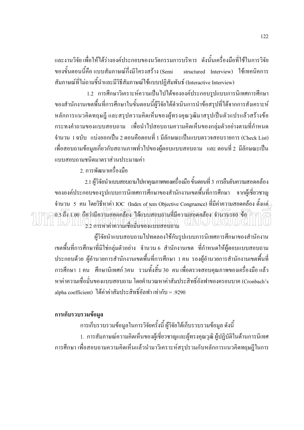และงานวิจัย เพื่อให้ได้ร่างองค์ประกอบของนวัตกรรมการบริหาร ดังนั้นเครื่องมือที่ใช้ในการวิจัย ี ของขั้นตอนนี้คือ แบบสัมภาษณ์กึ่งมีโครงสร้าง (Semi structured Interview) ใช้เทคนิคการ ิ สัมภาษณ์ที่ไม่ถามชื้นำและมีวิธีสัมภาษณ์ใช้แบบปฏิสัมพันธ์ (Interactive Interview)

1.2 การศึกษาวิเคราะห์ความเป็นไปได้ขององค์ประกอบรูปแบบการนิเทศการศึกษา ึของสำนักงานเขตพื้นที่การศึกษาในขั้นตอนนี้ผ้วิจัยได้คำเนินการนำข้อสรปที่ได้จากการสังเคราะห์ หลักการแนวคิดทฤษฎี และสรุปความคิดเห็นของผู้ทรงคุณวุฒิมาสรุปเป็นตัวแปรแล้วสร้างข้อ ึกระทงคำถามของแบบสอบถาม เพื่อนำไปสอบถามความคิดเห็นของกลุ่มตัวอย่างตามที่กำหนด ี จำนวน 1 ฉบับ แบ่งออกเป็น 2 ตอนคือตอนที่ 1 มีลักษณะเป็นแบบตรวจสอบรายการ (Check List) เพื่อสอบถามข้อมูลเกี่ยวกับสถานภาพทั่วไปของผู้ตอบแบบสอบถาม และ ตอนที่ 2 มีลักษณะเป็น แบบสอบถามชนิดมาตราส่วนประมาณค่า

่ 2 การพัฒนาเครื่องบี๊อ

2.1 ผู้วิจัยนำแบบสอบถามไปหาคุณภาพของเครื่องมือ ขั้นตอนที่ 3 การยืนยันความสอดคล้อง ี ขององค์ประกอบของรปแบบการนิเทศการศึกษาของสำนักงานเขตพื้นที่การศึกษา จากผู้เชี่ยวชาญ ู จำนวน 5 คน โดยวิธีหาค่า IOC (Index of tem Objective Congruence) ที่มีค่าความสอดคล้อง ตั้งแต่  $\overline{0.5}$ ถึง 1.00 ถือว่ามีความสอดคล้อง "โค้แบบสอบถามที่มีความสอดคล้อง จำนวน180 ข้อ $\overline{\gamma}\gamma$ 2.2 การหาค่าความเชื่อมั่นของแบบสอบถาม (GIWW) W3(GIU

ผู้วิจัยนำแบบสอบถามไปทดลองใช้กับรูปแบบการนิเทศการศึกษาของสำนักงาน เขตพื้นที่การศึกษาที่มิใช่กลุ่มตัวอย่าง จำนวน 6 สำนักงานเขต ที่กำหนดให้ผู้ตอบแบบสอบถาม ประกอบด้วย ผู้อำนวยการสำนักงานเขตพื้นที่การศึกษา 1 คน รองผู้อำนวยการสำนักงานเขตพื้นที่ ึการศึกษา 1 คน ศึกษานิเทศก์ 3คน รวมทั้งสิ้น 30 คน เพื่อตรวจสอบคุณภาพของเครื่องมือ แล้ว หาค่าความเชื่อมั่นของแบบสอบถาม โดยคำนวณหาค่าสัมประสิทธิ์อัลฟาของครอนบาค (Cronbach's alpha coefficient) ได้ค่าค่าสัมประสิทธิ์อัลฟา เท่ากับ = .9290

#### การเก็บรวบรวมข้อมูล

ึการเก็บรวบรวมข้อมูลในการวิจัยครั้งนี้ ผู้วิจัยได้เก็บรวบรวมข้อมูล ดังนี้ 1. การสัมภาษณ์ความคิดเห็นของผู้เชี่ยวชาญและผู้ทรงคุณวุฒิ ผู้ปฏิบัติในด้านการนิเทศ ี การศึกษา เพื่อสอบถามความคิดเห็นแล้วนำมาวิเคราะห์สรุปรวมกับหลักการแนวคิดทฤษฎีในการ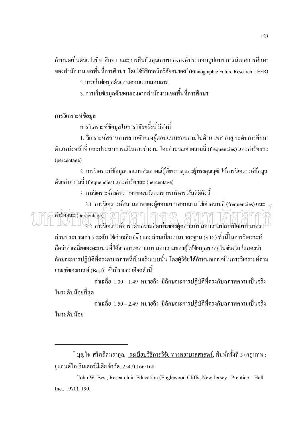้กำหนดเป็นตัวแปรที่จะศึกษา และการยืนยันคุณภาพขององค์ประกอบรูปแบบการนิเทศการศึกษา ี ของสำนักงานเขตพื้นที่การศึกษา โดยใช้วิธีเทคนิควิจัยอนาคต ํ (Ethnographic Future Research : EFR)

2. การเก็บข้อมลด้วยการตอบแบบสอบถาม

่ 3. การเก็บข้อมูลด้วยตนเองจากสำนักงานเขตพื้นที่การศึกษา

#### การวิเคราะห์ข้อมูล

ึการวิเคราะห์ข้อมูลในการวิจัยครั้งนี้ มีดังนี้

1. วิเคราะห์สถานภาพส่วนตัวของผู้ตอบแบบสอบถามในด้าน เพศ อายุ ระดับการศึกษา ี ตำแหน่งหน้าที่ และประสบการณ์ในการทำงาน โดยคำนวณค่าความถี่ (frequencies) และค่าร้อยละ (percentage)

่ 2. การวิเคราะห์ข้อมูลจากแบบสัมภาษณ์ผู้เชี่ยวชาญและผู้ทรงคุณวุฒิ ใช้การวิเคราะห์ข้อมูล ี ด้วยค่าความถี่ (frequencies) และค่าร้อยละ (percentage)

3. การวิเคราะห์องค์ประกอบของนวัตกรรมการบริหารใช้สถิติดังนี้

3.1 การวิเคราะห์สถานภาพของผู้ตอบแบบสอบถาม ใช้ค่าความถี่ (frequencies) และ hioun (percentage) ( 16 3.2 การวิเคราะห์คาระดับความคิดเห็นของผู้ตอบแบบสอบถามปลายปิดแบบมาตรา ส่วนประมาณค่า 5 ระดับ ใช้ค่าเฉลี่ย (x) และส่วนเบี่ยงเบนมาตรฐาน (S.D.) ทั้งนี้ในการวิเคราะห์

ถือว่าค่าเฉลี่ยของคะแนนที่ได้จากการตอบแบบสอบถามของผู้ให้ข้อมูลตกอยู่ในช่วงใดก็แสดงว่า ิลักษณะการปฏิบัติที่ตรงตามสภาพที่เป็นจริงแบบนั้น โดยผู้วิจัยได้กำหนดเกณฑ์ในการวิเคราะห์ตาม เกณฑ์ของเบสท์ (Best)<sup>3</sup> ซึ่งมีรายละเอียดดังนี้

้ค่าเฉลี่ย 1.00 – 1.49 หมายถึง มีลักษณะการปฏิบัติที่ตรงกับสภาพความเป็นจริง ในระดับน้อยที่สุด

ี ค่าเฉลี่ย 1.50–2.49 หมายถึง มีลักษณะการปฏิบัติที่ตรงกับสภาพความเป็นจริง ในระดับน้อย

<sup>2</sup> บุญใจ ศรีสถิตนรากูล, <u>ระเบียบวิธีการวิจัย ทางพยาบาลศาสตร์</u>, พิมพ์ครั้งที่ 3 (กรุงเทพ : ยูแอนด์ใอ อินเตอร์มีเดีย จำกัด, 2547),166-168.

<sup>3</sup>John W. Best, Research in Education (Englewood Cliffs, New Jersey: Prentice – Hall Inc., 1970), 190.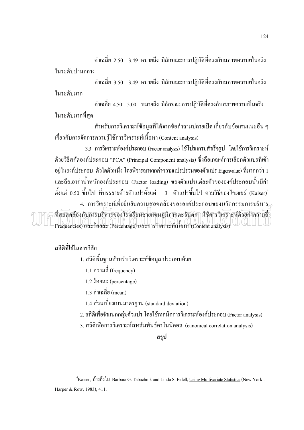ค่าเฉลี่ย 2.50–3.49 หมายถึง มีลักษณะการปฏิบัติที่ตรงกับสภาพความเป็นจริง  $\ddot{\phantom{a}}$ 

ในระดับปาน<mark>กลา</mark>ง

ค่าเฉลี่ย 3.50 – 3.49 หมายถึง มีลักษณะการปฏิบัติที่ตรงกับสภาพความเป็นจริง  $\overline{a}$ ในระดับมาก

ค่าเฉลี่ย 4.50–5.00 หมายถึง มีลักษณะการปฏิบัติที่ตรงกับสภาพความเป็นจริง ในระดับมากที่สุด

สำหรับการวิเคราะห์ข้อมูลที่ได้จากข้อคำถามปลายเปิด เกี่ยวกับข้อเสนแนะอื่น ๆ  $\overline{a}$ เกี่ยวกับการจัดการความรู้ใช้การวิเคราะห์เนื้อหา (Content analysis) 

3.3 การวิเคราะห์องค์ประกอบ (Factor analysis) ใช้โปรแกรมสำเร็จรูป โดยใช้การวิเคราะห์ ด้วยวิธีสกัดองค์ประกอบ "PCA" (Principal Component analysis) ซึ่งถือเกณฑ์การเลือกตัวแปรที่เข้า อยู่ในองค์ประกอบ ตัวใดตัวหนึ่ง โดยพิจารณาจากค่าความแปรปรวนของตัวแปร Eigenvalue) ที่มากกว่า 1 และถือเอาค่าน้ำหนักองค์ประกอบ (Factor loading) ของตัวแปรแต่ละตัวขององค์ประกอบนั้นมีค่า  $\ddot{\phantom{a}}$ ตั้งแต่ 0.50 ขึ้นไป ที่บรรยายด้วยตัวแปรตั้งแต่ 3 ตัวแปรขึ้นไป ตามวิธีของไกเซอร์ (Kaiser)<sup>4</sup> 4. การวิเคราะห์เพื่อยืนยันความสอดคล้องขององค์ประกอบของนวัตกรรมการบริหาร  $\begin{array}{c} \hline \end{array}$ ที่สอดคล้องกับการบริหารของโรงเรียนชายแดนภูมิภาคตะวันตก (ใช้การวิเคราะห์ด้วยค่าความถึ Frequencies) และร้อยละ (Percentage) และการวิเคราะห์เนื้อหา (Content analysis)

## ี<br>สถิติที่ใช้ในการวิจัย

 $\overline{a}$ 

- 1. สถิติพื้นฐานสำหรับวิเคราะห์ข้อมูล ประกอบด้วย
- 1.1 ความถี่ (frequency)
- $1.2 \text{ }\text{F}$ ้อยละ (percentage)
- $1.3$  ค่าเฉลี่ย (mean)
- 1.4 ส่วนเบี่ยงเบนมาตรฐาน (standard deviation)
- 2. สถิติเพื่อจำแนกกลุ่มตัวแปร โดยใช้เทคนิคการวิเคราะห์องค์ประกอบ (Factor analysis)  $\ddot{\phantom{a}}$
- 3. สถิติเพื่อการวิเคราะห์สหสัมพันธ์คาโนนิคอล (canonical correlation analysis)  $\ddot{\phantom{a}}$

#### **ิสร**ป

 $4$ Kaiser, อ้างถึงใน Barbara G. Tabachnik and Linda S. Fidell, Using Multivariate Statistics (New York: Harper & Row, 1983), 411.